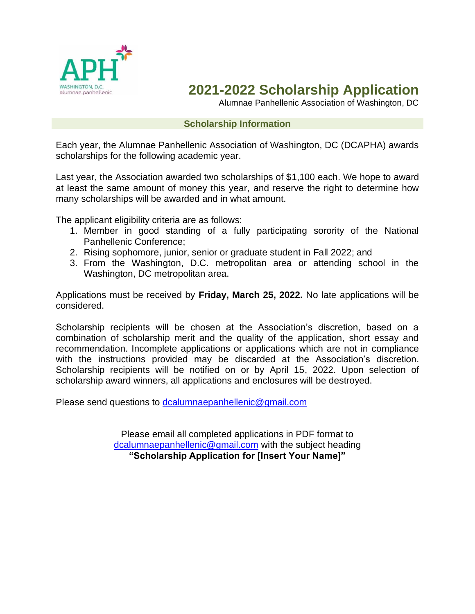

# **2021-2022 Scholarship Application**

Alumnae Panhellenic Association of Washington, DC

#### **Scholarship Information**

Each year, the Alumnae Panhellenic Association of Washington, DC (DCAPHA) awards scholarships for the following academic year.

Last year, the Association awarded two scholarships of \$1,100 each. We hope to award at least the same amount of money this year, and reserve the right to determine how many scholarships will be awarded and in what amount.

The applicant eligibility criteria are as follows:

- 1. Member in good standing of a fully participating sorority of the National Panhellenic Conference;
- 2. Rising sophomore, junior, senior or graduate student in Fall 2022; and
- 3. From the Washington, D.C. metropolitan area or attending school in the Washington, DC metropolitan area.

Applications must be received by **Friday, March 25, 2022.** No late applications will be considered.

Scholarship recipients will be chosen at the Association's discretion, based on a combination of scholarship merit and the quality of the application, short essay and recommendation. Incomplete applications or applications which are not in compliance with the instructions provided may be discarded at the Association's discretion. Scholarship recipients will be notified on or by April 15, 2022. Upon selection of scholarship award winners, all applications and enclosures will be destroyed.

Please send questions to [dcalumnaepanhellenic@gmail.com](mailto:dcalumnaepanhellenic@gmail.com)

Please email all completed applications in PDF format to [dcalumnaepanhellenic@gmail.com](mailto:dcalumnaepanhellenic@gmail.com) with the subject heading **"Scholarship Application for [Insert Your Name]"**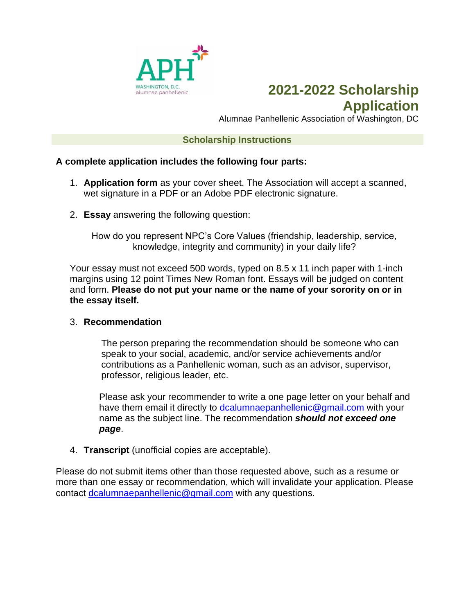

### **2021-2022 Scholarship Application**

Alumnae Panhellenic Association of Washington, DC

#### **Scholarship Instructions**

### **A complete application includes the following four parts:**

- 1. **Application form** as your cover sheet. The Association will accept a scanned, wet signature in a PDF or an Adobe PDF electronic signature.
- 2. **Essay** answering the following question:

How do you represent NPC's Core Values (friendship, leadership, service, knowledge, integrity and community) in your daily life?

Your essay must not exceed 500 words, typed on 8.5 x 11 inch paper with 1-inch margins using 12 point Times New Roman font. Essays will be judged on content and form. **Please do not put your name or the name of your sorority on or in the essay itself.**

#### 3. **Recommendation**

The person preparing the recommendation should be someone who can speak to your social, academic, and/or service achievements and/or contributions as a Panhellenic woman, such as an advisor, supervisor, professor, religious leader, etc.

Please ask your recommender to write a one page letter on your behalf and have them email it directly to [dcalumnaepanhellenic@gmail.com](mailto:dcalumnaepanhellenic@gmail.com) with your name as the subject line. The recommendation *should not exceed one page*.

4. **Transcript** (unofficial copies are acceptable).

Please do not submit items other than those requested above, such as a resume or more than one essay or recommendation, which will invalidate your application. Please contact [dcalumnaepanhellenic@gmail.com](mailto:dcalumnaepanhellenic@gmail.com) with any questions.